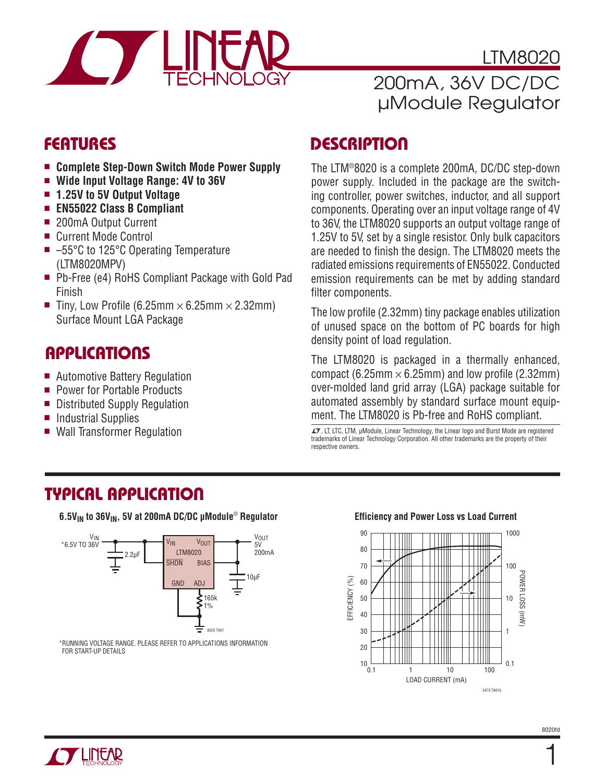

LTM8020 200mA, 36V DC/DC µModule Regulator

### **FEATURES**

- Complete Step-Down Switch Mode Power Supply
- Wide Input Voltage Range: 4V to 36V
- <sup>n</sup> **1.25V to 5V Output Voltage**
- <sup>n</sup> **EN55022 Class B Compliant**
- 200mA Output Current
- Current Mode Control
- $\blacksquare$  –55°C to 125°C Operating Temperature (LTM8020MPV)
- Pb-Free (e4) RoHS Compliant Package with Gold Pad Finish
- Tiny, Low Profile (6.25mm  $\times$  6.25mm  $\times$  2.32mm) Surface Mount LGA Package

## **APPLICATIONS**

- Automotive Battery Regulation
- Power for Portable Products
- Distributed Supply Regulation
- Industrial Supplies
- Wall Transformer Regulation

### **DESCRIPTION**

The LTM®8020 is a complete 200mA, DC/DC step-down power supply. Included in the package are the switching controller, power switches, inductor, and all support components. Operating over an input voltage range of 4V to 36V, the LTM8020 supports an output voltage range of 1.25V to 5V, set by a single resistor. Only bulk capacitors are needed to finish the design. The LTM8020 meets the radiated emissions requirements of EN55022. Conducted emission requirements can be met by adding standard filter components.

The low profile (2.32mm) tiny package enables utilization of unused space on the bottom of PC boards for high density point of load regulation.

The LTM8020 is packaged in a thermally enhanced, compact (6.25mm  $\times$  6.25mm) and low profile (2.32mm) over-molded land grid array (LGA) package suitable for automated assembly by standard surface mount equipment. The LTM8020 is Pb-free and RoHS compliant.

 $I$ , LT, LTC, LTM, µModule, Linear Technology, the Linear logo and Burst Mode are registered trademarks of Linear Technology Corporation. All other trademarks are the property of their respective owners.

### **TYPICAL APPLICATION**

**6.5VIN to 36VIN, 5V at 200mA DC/DC μModule**® **Regulator**



\*RUNNING VOLTAGE RANGE. PLEASE REFER TO APPLICATIONS INFORMATION FOR START-UP DETAILS

#### **Efficiency and Power Loss vs Load Current**



1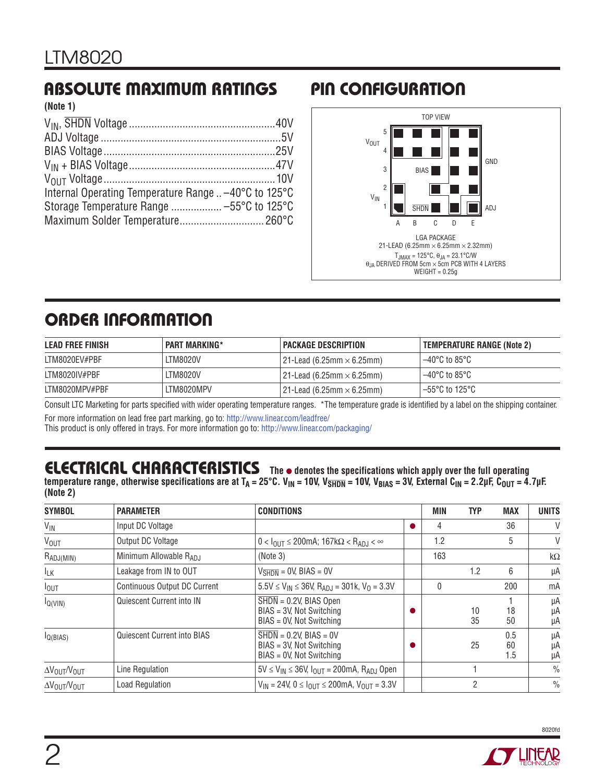# **ABSOLUTE MAXIMUM RATINGS PIN CONFIGURATION**

| (Note |  |
|-------|--|
|-------|--|

| Internal Operating Temperature Range  -40°C to 125°C |  |
|------------------------------------------------------|--|
|                                                      |  |
|                                                      |  |



# **ORDER INFORMATION**

| <b>LEAD FREE FINISH</b> | <b>PART MARKING*</b> | <b>PACKAGE DESCRIPTION</b>                  | <b>TEMPERATURE RANGE (Note 2)</b> |
|-------------------------|----------------------|---------------------------------------------|-----------------------------------|
| LTM8020EV#PBF           | LTM8020V             | 21-Lead (6.25mm $\times$ 6.25mm) $^{\circ}$ | $-40^{\circ}$ C to 85°C $-$       |
| LTM8020IV#PBF           | LTM8020V             | 21-Lead (6.25mm $\times$ 6.25mm) $^{\circ}$ | $-40^{\circ}$ C to 85°C $-$       |
| LTM8020MPV#PBF          | LTM8020MPV           | 21-Lead (6.25mm $\times$ 6.25mm) $^{\circ}$ | l –55°C to 125°C                  |

Consult LTC Marketing for parts specified with wider operating temperature ranges. \*The temperature grade is identified by a label on the shipping container. For more information on lead free part marking, go to: http://www.linear.com/leadfree/

This product is only offered in trays. For more information go to: http://www.linear.com/packaging/

### **ELECTRICAL CHARACTERISTICS** The  $\bullet$  denotes the specifications which apply over the full operating

temperature range, otherwise specifications are at T<sub>A</sub> = 25°C. V<sub>IN</sub> = 10V, V<sub>SHDN</sub> = 10V, V<sub>BIAS</sub> = 3V, External C<sub>IN</sub> = 2.2μF, C<sub>OUT</sub> = 4.7μF. **(Note 2)**

| <b>SYMBOL</b>                          | <b>PARAMETER</b>             | <b>CONDITIONS</b>                                                                                   | <b>MIN</b> | <b>TYP</b> | <b>MAX</b>       | <b>UNITS</b>   |
|----------------------------------------|------------------------------|-----------------------------------------------------------------------------------------------------|------------|------------|------------------|----------------|
| $V_{\text{IN}}$                        | Input DC Voltage             |                                                                                                     |            |            | 36               | V              |
| <b>V<sub>OUT</sub></b>                 | Output DC Voltage            | $0 <$ I <sub>OUT</sub> ≤ 200mA; 167kΩ < R <sub>ADJ</sub> < $\infty$                                 | 1.2        |            | 5                | $\vee$         |
| $R_{ADJ(MIN)}$                         | Minimum Allowable RADJ       | (Note 3)                                                                                            | 163        |            |                  | $k\Omega$      |
| $I_{LK}$                               | Leakage from IN to OUT       | $V_{\overline{\text{SHDN}}}$ = 0V, BIAS = 0V                                                        |            | 1.2        | 6                | μA             |
| $I_{\text{OUT}}$                       | Continuous Output DC Current | $5.5V \le V_{IN} \le 36V$ , R <sub>ADJ</sub> = 301k, V <sub>O</sub> = 3.3V                          | 0          |            | 200              | mA             |
| $I_{Q(VIN)}$                           | Quiescent Current into IN    | $SHDN = 0.2V$ , BIAS Open<br>BIAS = 3V. Not Switching<br>BIAS = 0V, Not Switching                   |            | 10<br>35   | 18<br>50         | μA<br>μA<br>μA |
| $I_{Q(B AS)}$                          | Quiescent Current into BIAS  | $\overline{\text{SHDN}} = 0.2$ V, BIAS = 0V<br>BIAS = 3V, Not Switching<br>BIAS = 0V, Not Switching |            | 25         | 0.5<br>60<br>1.5 | μA<br>μA<br>μA |
| Δ $V_{\text{OUT}}/V_{\text{OUT}}$      | Line Regulation              | $5V \le V_{IN} \le 36V$ , $I_{OUT} = 200$ mA, R <sub>ADJ</sub> Open                                 |            |            |                  | $\frac{0}{0}$  |
| $\Delta V_{\text{OUT}}/V_{\text{OUT}}$ | <b>Load Regulation</b>       | $V_{IN}$ = 24V, 0 $\leq$ $I_{OUT}$ $\leq$ 200mA, $V_{OUT}$ = 3.3V                                   |            | 2          |                  | $\frac{0}{0}$  |



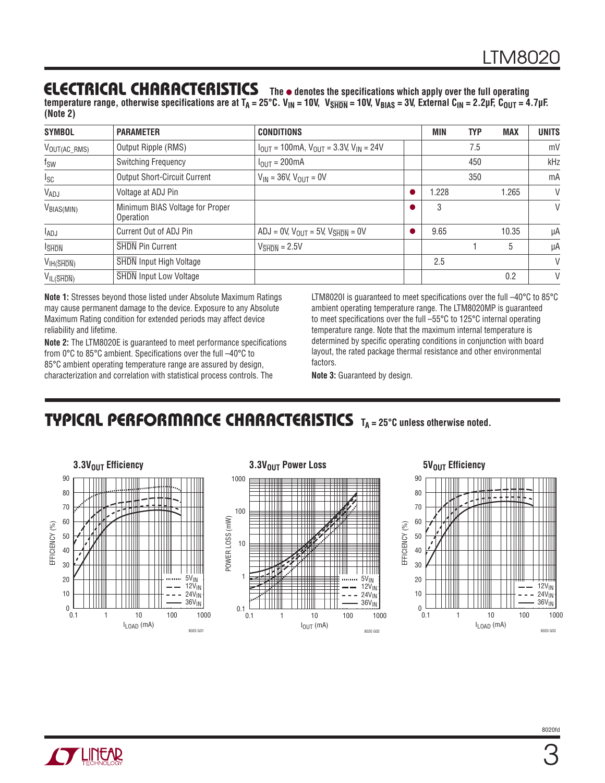### **ELECTRICAL CHARACTERISTICS** The  $\bullet$  denotes the specifications which apply over the full operating

temperature range, otherwise specifications are at T<sub>A</sub> = 25°C. V<sub>IN</sub> = 10V, V<sub>SHDN</sub> = 10V, V<sub>BIAS</sub> = 3V, External C<sub>IN</sub> = 2.2μF, C<sub>OUT</sub> = 4.7μF. **(Note 2)**

| <b>SYMBOL</b>              | <b>PARAMETER</b>                             | <b>CONDITIONS</b>                                                                                  | <b>MIN</b> | <b>TYP</b> | <b>MAX</b> | <b>UNITS</b> |
|----------------------------|----------------------------------------------|----------------------------------------------------------------------------------------------------|------------|------------|------------|--------------|
| $V_{\text{OUT(AC_RMS)}}$   | Output Ripple (RMS)                          | $I_{\text{OUT}} = 100 \text{mA}$ , $V_{\text{OUT}} = 3.3 \text{V}$ , $V_{\text{IN}} = 24 \text{V}$ |            | 7.5        |            | mV           |
| $f_{SW}$                   | <b>Switching Frequency</b>                   | $I_{OUT} = 200mA$                                                                                  |            | 450        |            | kHz          |
| $I_{SC}$                   | <b>Output Short-Circuit Current</b>          | $V_{IN}$ = 36V, $V_{OUT}$ = 0V                                                                     |            | 350        |            | mA           |
| VADJ                       | Voltage at ADJ Pin                           |                                                                                                    | 1.228      |            | 1.265      | V            |
| $V_{BIAS(MIN)}$            | Minimum BIAS Voltage for Proper<br>Operation |                                                                                                    | 3          |            |            | $\vee$       |
| l <sub>ADJ</sub>           | Current Out of ADJ Pin                       | ADJ = 0V, $V_{OUIT}$ = 5V, $V_{\overline{SHDN}}$ = 0V                                              | 9.65       |            | 10.35      | μA           |
| <b>SHDN</b>                | <b>SHDN</b> Pin Current                      | $V_{\overline{\text{SHDN}}}$ = 2.5V                                                                |            |            | 5          | μA           |
| $V_{IH(SHDN)}$             | <b>SHDN Input High Voltage</b>               |                                                                                                    | 2.5        |            |            | $\vee$       |
| $V_{IL( \overline{SHDN})}$ | <b>SHDN Input Low Voltage</b>                |                                                                                                    |            |            | 0.2        | $\vee$       |

**Note 1:** Stresses beyond those listed under Absolute Maximum Ratings may cause permanent damage to the device. Exposure to any Absolute Maximum Rating condition for extended periods may affect device reliability and lifetime.

**Note 2:** The LTM8020E is guaranteed to meet performance specifications from 0°C to 85°C ambient. Specifications over the full –40°C to 85°C ambient operating temperature range are assured by design, characterization and correlation with statistical process controls. The

LTM8020I is quaranteed to meet specifications over the full  $-40^{\circ}$ C to 85 $^{\circ}$ C ambient operating temperature range. The LTM8020MP is guaranteed to meet specifications over the full –55°C to 125°C internal operating temperature range. Note that the maximum internal temperature is determined by specific operating conditions in conjunction with board layout, the rated package thermal resistance and other environmental factors.

**Note 3:** Guaranteed by design.

### **TYPICAL PERFORMANCE CHARACTERISTICS** T<sub>A</sub> = 25°C unless otherwise noted.







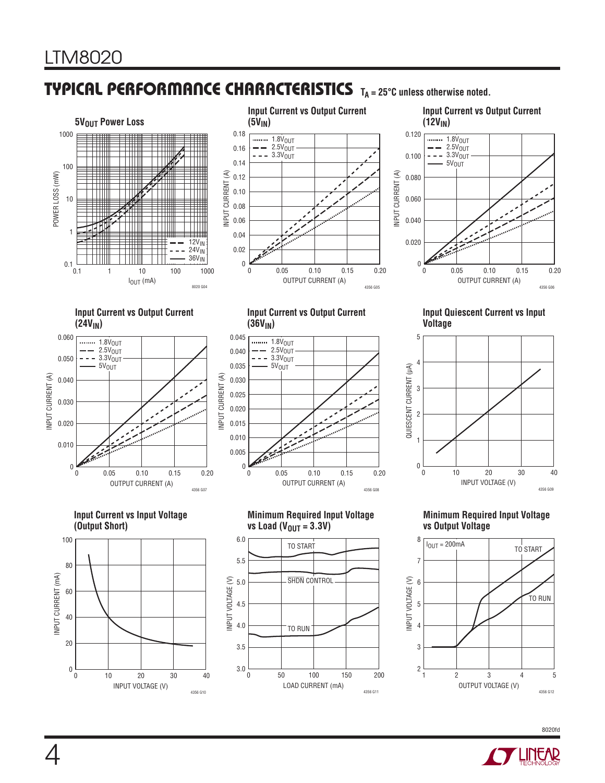## **TYPICAL PERFORMANCE CHARACTERISTICS** T<sub>A</sub> = 25°C unless otherwise noted.



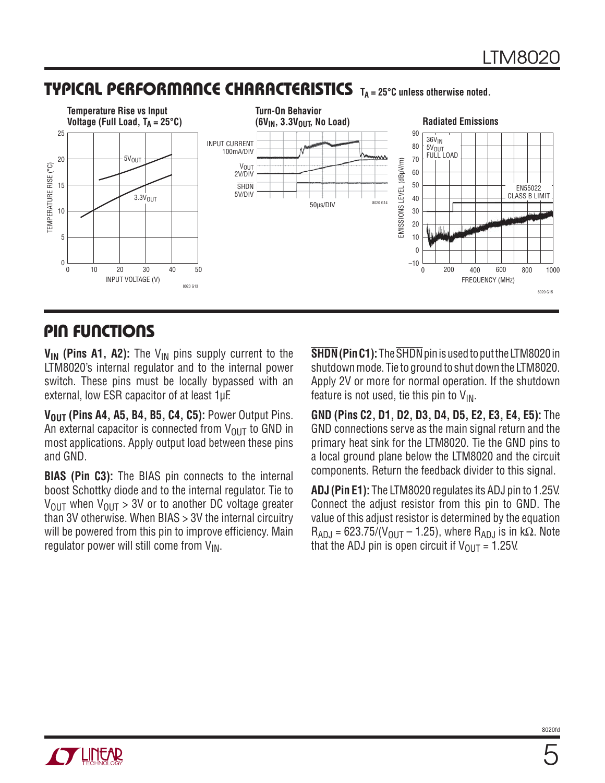### **TYPICAL PERFORMANCE CHARACTERISTICS** TA = 25°C unless otherwise noted.



### **PIN FUNCTIONS**

**V<sub>IN</sub>** (Pins A1, A2): The V<sub>IN</sub> pins supply current to the LTM8020's internal regulator and to the internal power switch. These pins must be locally bypassed with an external, low ESR capacitor of at least 1μF.

**V<sub>OUT</sub> (Pins A4, A5, B4, B5, C4, C5):** Power Output Pins. An external capacitor is connected from  $V_{OIII}$  to GND in most applications. Apply output load between these pins and GND.

**BIAS (Pin C3):** The BIAS pin connects to the internal boost Schottky diode and to the internal regulator. Tie to  $V_{\text{OUT}}$  when  $V_{\text{OUT}} > 3V$  or to another DC voltage greater than 3V otherwise. When BIAS > 3V the internal circuitry will be powered from this pin to improve efficiency. Main regulator power will still come from  $V_{IN}$ .

**SHDN (Pin C1):** The SHDN pin is used to put the LTM8020 in shutdown mode. Tie to ground to shut down the LTM8020. Apply 2V or more for normal operation. If the shutdown feature is not used, tie this pin to  $V_{IN}$ .

**GND (Pins C2, D1, D2, D3, D4, D5, E2, E3, E4, E5):** The GND connections serve as the main signal return and the primary heat sink for the LTM8020. Tie the GND pins to a local ground plane below the LTM8020 and the circuit components. Return the feedback divider to this signal.

**ADJ (Pin E1):** The LTM8020 regulates its ADJ pin to 1.25V. Connect the adjust resistor from this pin to GND. The value of this adjust resistor is determined by the equation  $R_{ADJ}$  = 623.75/(V<sub>OUT</sub> – 1.25), where  $R_{ADJ}$  is in k $\Omega$ . Note that the ADJ pin is open circuit if  $V_{\text{OUT}} = 1.25V$ .

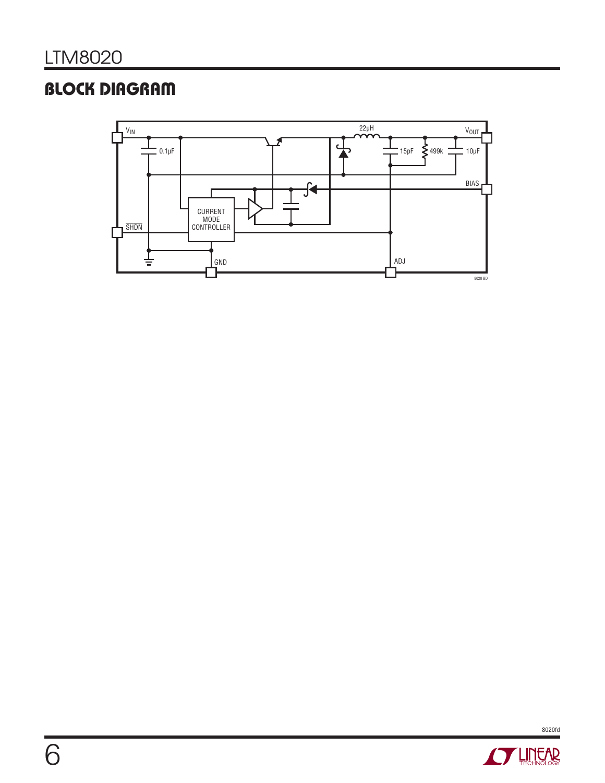# **BLOCK DIAGRAM**



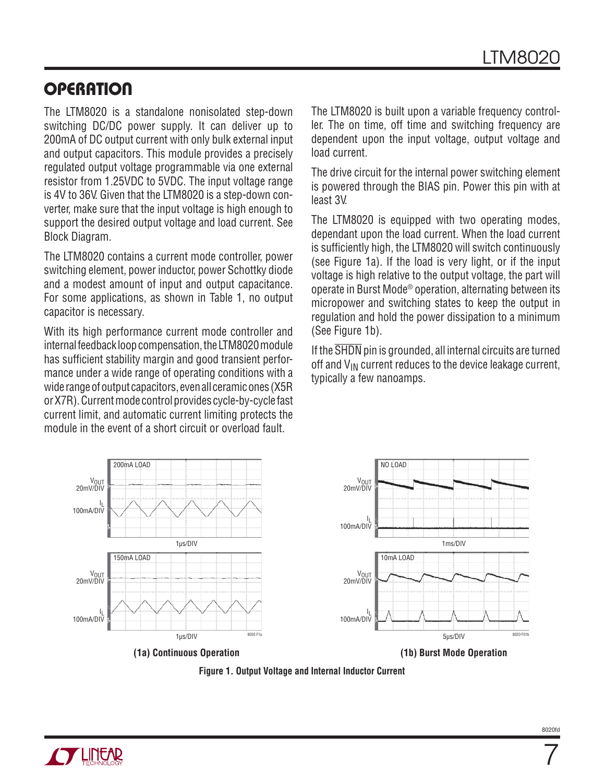### **OPERATION**

The LTM8020 is a standalone nonisolated step-down switching DC/DC power supply. It can deliver up to 200mA of DC output current with only bulk external input and output capacitors. This module provides a precisely regulated output voltage programmable via one external resistor from 1.25VDC to 5VDC. The input voltage range is 4V to 36V. Given that the LTM8020 is a step-down converter, make sure that the input voltage is high enough to support the desired output voltage and load current. See Block Diagram.

The LTM8020 contains a current mode controller, power switching element, power inductor, power Schottky diode and a modest amount of input and output capacitance. For some applications, as shown in Table 1, no output capacitor is necessary.

With its high performance current mode controller and internal feedback loop compensation, the LTM8020 module has sufficient stability margin and good transient performance under a wide range of operating conditions with a wide range of output capacitors, even all ceramic ones (X5R or X7R). Current mode control provides cycle-by-cycle fast current limit, and automatic current limiting protects the module in the event of a short circuit or overload fault.

The LTM8020 is built upon a variable frequency controller. The on time, off time and switching frequency are dependent upon the input voltage, output voltage and load current.

The drive circuit for the internal power switching element is powered through the BIAS pin. Power this pin with at least 3V.

The LTM8020 is equipped with two operating modes, dependant upon the load current. When the load current is sufficiently high, the LTM8020 will switch continuously (see Figure 1a). If the load is very light, or if the input voltage is high relative to the output voltage, the part will operate in Burst Mode® operation, alternating between its micropower and switching states to keep the output in regulation and hold the power dissipation to a minimum (See Figure 1b).

If the SHDN pin is grounded, all internal circuits are turned off and  $V_{IN}$  current reduces to the device leakage current, typically a few nanoamps.





7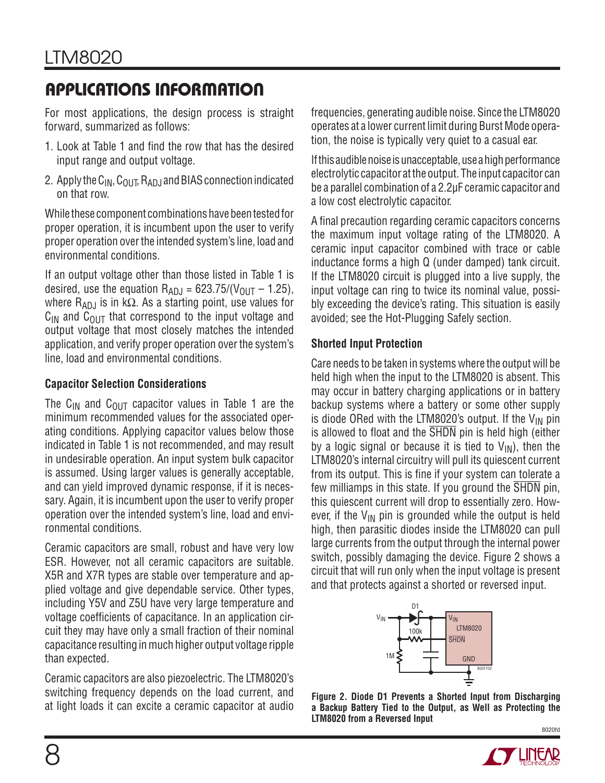For most applications, the design process is straight forward, summarized as follows:

- 1. Look at Table 1 and find the row that has the desired input range and output voltage.
- 2. Apply the  $C_{IN}$ ,  $C_{OUT}$ ,  $R_{AD,I}$  and BIAS connection indicated on that row.

While these component combinations have been tested for proper operation, it is incumbent upon the user to verify proper operation over the intended system's line, load and environmental conditions.

If an output voltage other than those listed in Table 1 is desired, use the equation  $R_{AD,I} = 623.75/(V_{OII} - 1.25)$ , where R<sub>ADJ</sub> is in kΩ. As a starting point, use values for  $C_{IN}$  and  $C_{OUT}$  that correspond to the input voltage and output voltage that most closely matches the intended application, and verify proper operation over the system's line, load and environmental conditions.

### **Capacitor Selection Considerations**

The C<sub>IN</sub> and C<sub>OUT</sub> capacitor values in Table 1 are the minimum recommended values for the associated operating conditions. Applying capacitor values below those indicated in Table 1 is not recommended, and may result in undesirable operation. An input system bulk capacitor is assumed. Using larger values is generally acceptable, and can yield improved dynamic response, if it is necessary. Again, it is incumbent upon the user to verify proper operation over the intended system's line, load and environmental conditions.

Ceramic capacitors are small, robust and have very low ESR. However, not all ceramic capacitors are suitable. X5R and X7R types are stable over temperature and applied voltage and give dependable service. Other types, including Y5V and Z5U have very large temperature and voltage coefficients of capacitance. In an application circuit they may have only a small fraction of their nominal capacitance resulting in much higher output voltage ripple than expected.

Ceramic capacitors are also piezoelectric. The LTM8020's switching frequency depends on the load current, and at light loads it can excite a ceramic capacitor at audio

frequencies, generating audible noise. Since the LTM8020 operates at a lower current limit during Burst Mode operation, the noise is typically very quiet to a casual ear.

If this audible noise is unacceptable, use a high performance electrolytic capacitor at the output. The input capacitor can be a parallel combination of a 2.2μF ceramic capacitor and a low cost electrolytic capacitor.

A final precaution regarding ceramic capacitors concerns the maximum input voltage rating of the LTM8020. A ceramic input capacitor combined with trace or cable inductance forms a high Q (under damped) tank circuit. If the LTM8020 circuit is plugged into a live supply, the input voltage can ring to twice its nominal value, possibly exceeding the device's rating. This situation is easily avoided; see the Hot-Plugging Safely section.

### **Shorted Input Protection**

Care needs to be taken in systems where the output will be held high when the input to the LTM8020 is absent. This may occur in battery charging applications or in battery backup systems where a battery or some other supply is diode ORed with the LTM8020's output. If the  $V_{IN}$  pin is allowed to float and the SHDN pin is held high (either by a logic signal or because it is tied to  $V_{IN}$ ), then the LTM8020's internal circuitry will pull its quiescent current from its output. This is fine if your system can tolerate a few milliamps in this state. If you ground the SHDN pin, this quiescent current will drop to essentially zero. However, if the  $V_{IN}$  pin is grounded while the output is held high, then parasitic diodes inside the LTM8020 can pull large currents from the output through the internal power switch, possibly damaging the device. Figure 2 shows a circuit that will run only when the input voltage is present and that protects against a shorted or reversed input.



**Figure 2. Diode D1 Prevents a Shorted Input from Discharging a Backup Battery Tied to the Output, as Well as Protecting the LTM8020 from a Reversed Input**

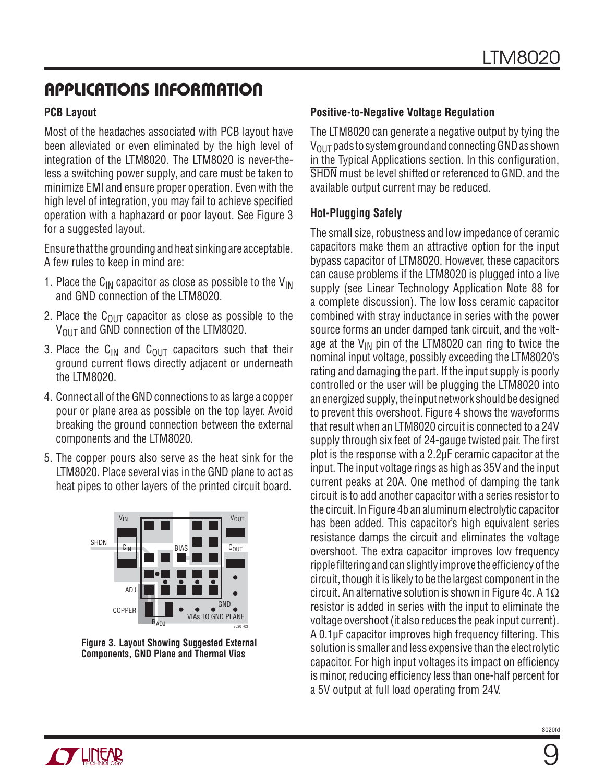### **PCB Layout**

Most of the headaches associated with PCB layout have been alleviated or even eliminated by the high level of integration of the LTM8020. The LTM8020 is never-theless a switching power supply, and care must be taken to minimize EMI and ensure proper operation. Even with the high level of integration, you may fail to achieve specified operation with a haphazard or poor layout. See Figure 3 for a suggested layout.

Ensure that the grounding and heat sinking are acceptable. A few rules to keep in mind are:

- 1. Place the C<sub>IN</sub> capacitor as close as possible to the V<sub>IN</sub> and GND connection of the LTM8020.
- 2. Place the C<sub>OUT</sub> capacitor as close as possible to the V<sub>OUT</sub> and GND connection of the LTM8020.
- 3. Place the C<sub>IN</sub> and C<sub>OUT</sub> capacitors such that their ground current flows directly adjacent or underneath the LTM8020.
- 4. Connect all of the GND connections to as large a copper pour or plane area as possible on the top layer. Avoid breaking the ground connection between the external components and the LTM8020.
- 5. The copper pours also serve as the heat sink for the LTM8020. Place several vias in the GND plane to act as heat pipes to other layers of the printed circuit board.



**Figure 3. Layout Showing Suggested External Components, GND Plane and Thermal Vias**

### **Positive-to-Negative Voltage Regulation**

The LTM8020 can generate a negative output by tying the  $V_{\text{OUT}}$  pads to system ground and connecting GND as shown in the Typical Applications section. In this configuration, SHDN must be level shifted or referenced to GND, and the available output current may be reduced.

### **Hot-Plugging Safely**

The small size, robustness and low impedance of ceramic capacitors make them an attractive option for the input bypass capacitor of LTM8020. However, these capacitors can cause problems if the LTM8020 is plugged into a live supply (see Linear Technology Application Note 88 for a complete discussion). The low loss ceramic capacitor combined with stray inductance in series with the power source forms an under damped tank circuit, and the voltage at the  $V_{IN}$  pin of the LTM8020 can ring to twice the nominal input voltage, possibly exceeding the LTM8020's rating and damaging the part. If the input supply is poorly controlled or the user will be plugging the LTM8020 into an energized supply, the input network should be designed to prevent this overshoot. Figure 4 shows the waveforms that result when an LTM8020 circuit is connected to a 24V supply through six feet of 24-gauge twisted pair. The first plot is the response with a 2.2μF ceramic capacitor at the input. The input voltage rings as high as 35V and the input current peaks at 20A. One method of damping the tank circuit is to add another capacitor with a series resistor to the circuit. In Figure 4b an aluminum electrolytic capacitor has been added. This capacitor's high equivalent series resistance damps the circuit and eliminates the voltage overshoot. The extra capacitor improves low frequency ripple filtering and can slightly improve the efficiency of the circuit, though it is likely to be the largest component in the circuit. An alternative solution is shown in Figure 4c. A 1 $\Omega$ resistor is added in series with the input to eliminate the voltage overshoot (it also reduces the peak input current). A 0.1μF capacitor improves high frequency filtering. This solution is smaller and less expensive than the electrolytic capacitor. For high input voltages its impact on efficiency is minor, reducing efficiency less than one-half percent for a 5V output at full load operating from 24V.

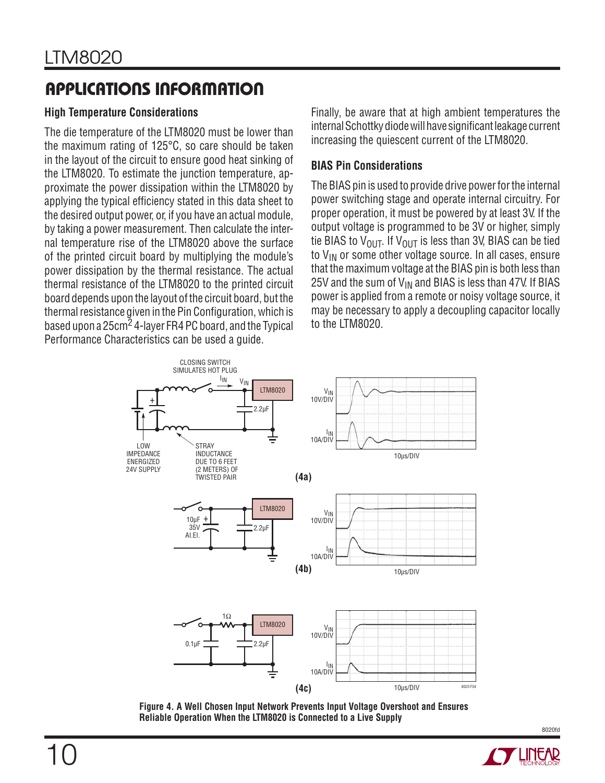### **High Temperature Considerations**

The die temperature of the LTM8020 must be lower than the maximum rating of 125°C, so care should be taken in the layout of the circuit to ensure good heat sinking of the LTM8020. To estimate the junction temperature, approximate the power dissipation within the LTM8020 by applying the typical efficiency stated in this data sheet to the desired output power, or, if you have an actual module, by taking a power measurement. Then calculate the internal temperature rise of the LTM8020 above the surface of the printed circuit board by multiplying the module's power dissipation by the thermal resistance. The actual thermal resistance of the LTM8020 to the printed circuit board depends upon the layout of the circuit board, but the thermal resistance given in the Pin Configuration, which is based upon a 25cm<sup>2</sup> 4-layer FR4 PC board, and the Typical Performance Characteristics can be used a guide.

Finally, be aware that at high ambient temperatures the internal Schottky diode will have significant leakage current increasing the quiescent current of the LTM8020.

### **BIAS Pin Considerations**

The BIAS pin is used to provide drive power for the internal power switching stage and operate internal circuitry. For proper operation, it must be powered by at least 3V. If the output voltage is programmed to be 3V or higher, simply tie BIAS to V<sub>OUT</sub>. If V<sub>OUT</sub> is less than 3V, BIAS can be tied to  $V_{IN}$  or some other voltage source. In all cases, ensure that the maximum voltage at the BIAS pin is both less than 25V and the sum of  $V_{IN}$  and BIAS is less than 47V. If BIAS power is applied from a remote or noisy voltage source, it may be necessary to apply a decoupling capacitor locally to the LTM8020.



**Figure 4. A Well Chosen Input Network Prevents Input Voltage Overshoot and Ensures Reliable Operation When the LTM8020 is Connected to a Live Supply**

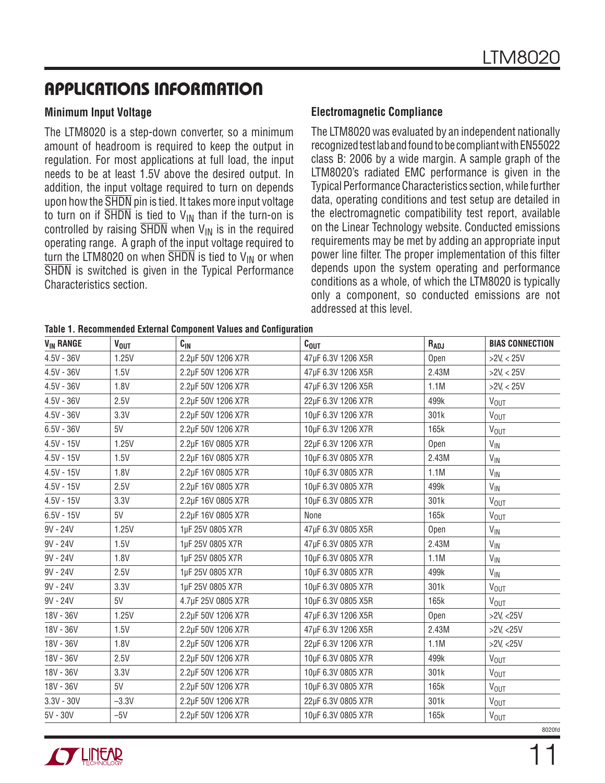#### **Minimum Input Voltage**

The LTM8020 is a step-down converter, so a minimum amount of headroom is required to keep the output in regulation. For most applications at full load, the input needs to be at least 1.5V above the desired output. In addition, the input voltage required to turn on depends upon how the SHDN pin is tied. It takes more input voltage to turn on if  $\overline{\text{SHDN}}$  is tied to  $V_{\text{IN}}$  than if the turn-on is controlled by raising  $\overline{\text{SHDN}}$  when  $V_{\text{IN}}$  is in the required operating range. A graph of the input voltage required to turn the LTM8020 on when  $\overline{\text{SHDN}}$  is tied to  $\mathsf{V}_{\text{IN}}$  or when SHDN is switched is given in the Typical Performance Characteristics section.

### **Electromagnetic Compliance**

The LTM8020 was evaluated by an independent nationally recognized test lab and found to be compliant with EN55022 class B: 2006 by a wide margin. A sample graph of the LTM8020's radiated EMC performance is given in the Typical Performance Characteristics section, while further data, operating conditions and test setup are detailed in the electromagnetic compatibility test report, available on the Linear Technology website. Conducted emissions requirements may be met by adding an appropriate input power line filter. The proper implementation of this filter depends upon the system operating and performance conditions as a whole, of which the LTM8020 is typically only a component, so conducted emissions are not addressed at this level.

**Table 1. Recommended External Component Values and Configuration**

| <b>V<sub>IN</sub> RANGE</b> | <b>VOUT</b> | $C_{IN}$           | $c_{\text{out}}$   | $R_{ADJ}$ | <b>BIAS CONNECTION</b> |
|-----------------------------|-------------|--------------------|--------------------|-----------|------------------------|
| $4.5V - 36V$                | 1.25V       | 2.2µF 50V 1206 X7R | 47µF 6.3V 1206 X5R | Open      | $>2V$ , < 25V          |
| $4.5V - 36V$                | 1.5V        | 2.2µF 50V 1206 X7R | 47µF 6.3V 1206 X5R | 2.43M     | >2V < 25V              |
| $4.5V - 36V$                | 1.8V        | 2.2µF 50V 1206 X7R | 47µF 6.3V 1206 X5R | 1.1M      | >2V, < 25V             |
| $4.5V - 36V$                | 2.5V        | 2.2µF 50V 1206 X7R | 22µF 6.3V 1206 X7R | 499k      | <b>V<sub>OUT</sub></b> |
| $4.5V - 36V$                | 3.3V        | 2.2µF 50V 1206 X7R | 10µF 6.3V 1206 X7R | 301k      | VOUT                   |
| $6.5V - 36V$                | 5V          | 2.2µF 50V 1206 X7R | 10µF 6.3V 1206 X7R | 165k      | <b>V<sub>OUT</sub></b> |
| $4.5V - 15V$                | 1.25V       | 2.2µF 16V 0805 X7R | 22µF 6.3V 1206 X7R | Open      | $V_{\text{IN}}$        |
| $4.5V - 15V$                | 1.5V        | 2.2µF 16V 0805 X7R | 10µF 6.3V 0805 X7R | 2.43M     | $V_{\text{IN}}$        |
| $4.5V - 15V$                | 1.8V        | 2.2µF 16V 0805 X7R | 10µF 6.3V 0805 X7R | 1.1M      | $V_{\text{IN}}$        |
| $4.5V - 15V$                | 2.5V        | 2.2µF 16V 0805 X7R | 10µF 6.3V 0805 X7R | 499k      | $V_{\text{IN}}$        |
| $4.5V - 15V$                | 3.3V        | 2.2µF 16V 0805 X7R | 10µF 6.3V 0805 X7R | 301k      | <b>V<sub>OUT</sub></b> |
| $6.5V - 15V$                | 5V          | 2.2µF 16V 0805 X7R | None               | 165k      | <b>V<sub>OUT</sub></b> |
| $9V - 24V$                  | 1.25V       | 1µF 25V 0805 X7R   | 47µF 6.3V 0805 X5R | Open      | $V_{IN}$               |
| $9V - 24V$                  | 1.5V        | 1µF 25V 0805 X7R   | 47µF 6.3V 0805 X7R | 2.43M     | $V_{\text{IN}}$        |
| 9V - 24V                    | 1.8V        | 1µF 25V 0805 X7R   | 10µF 6.3V 0805 X7R | 1.1M      | $V_{\text{IN}}$        |
| $9V - 24V$                  | 2.5V        | 1µF 25V 0805 X7R   | 10µF 6.3V 0805 X7R | 499k      | $V_{\text{IN}}$        |
| $9V - 24V$                  | 3.3V        | 1µF 25V 0805 X7R   | 10µF 6.3V 0805 X7R | 301k      | <b>V<sub>OUT</sub></b> |
| $9V - 24V$                  | 5V          | 4.7µF 25V 0805 X7R | 10µF 6.3V 0805 X5R | 165k      | <b>V<sub>OUT</sub></b> |
| 18V - 36V                   | 1.25V       | 2.2µF 50V 1206 X7R | 47µF 6.3V 1206 X5R | Open      | $>2V$ , <25V           |
| 18V - 36V                   | 1.5V        | 2.2µF 50V 1206 X7R | 47µF 6.3V 1206 X5R | 2.43M     | $>2V$ , $<25V$         |
| 18V - 36V                   | 1.8V        | 2.2µF 50V 1206 X7R | 22µF 6.3V 1206 X7R | 1.1M      | $>2V$ , <25V           |
| 18V - 36V                   | 2.5V        | 2.2µF 50V 1206 X7R | 10µF 6.3V 0805 X7R | 499k      | <b>V<sub>OUT</sub></b> |
| 18V - 36V                   | 3.3V        | 2.2µF 50V 1206 X7R | 10µF 6.3V 0805 X7R | 301k      | <b>V<sub>OUT</sub></b> |
| 18V - 36V                   | 5V          | 2.2µF 50V 1206 X7R | 10µF 6.3V 0805 X7R | 165k      | <b>V<sub>OUT</sub></b> |
| $3.3V - 30V$                | $-3.3V$     | 2.2µF 50V 1206 X7R | 22µF 6.3V 0805 X7R | 301k      | <b>V<sub>OUT</sub></b> |
| $5V - 30V$                  | $-5V$       | 2.2µF 50V 1206 X7R | 10µF 6.3V 0805 X7R | 165k      | <b>V<sub>OUT</sub></b> |

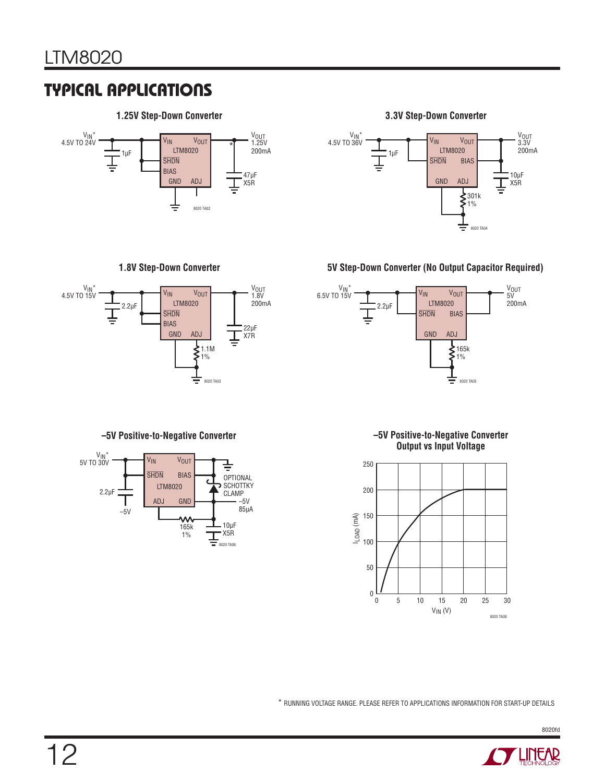### **TYPICAL APPLICATIONS**

#### **1.25V Step-Down Converter 3.3V Step-Down Converter**



**1.8V Step-Down Converter**



**–5V Positive-to-Negative Converter**





#### **5V Step-Down Converter (No Output Capacitor Required)**



**–5V Positive-to-Negative Converter Output vs Input Voltage**



\* RUNNING VOLTAGE RANGE. PLEASE REFER TO APPLICATIONS INFORMATION FOR START-UP DETAILS

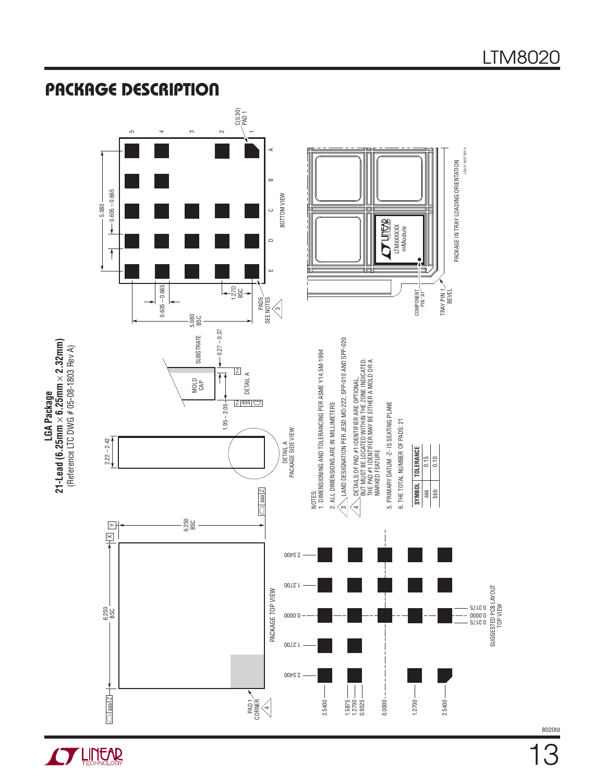

### **PACKAGE DESCRIPTION**

LTM8020



**LGA Package**

LGA Package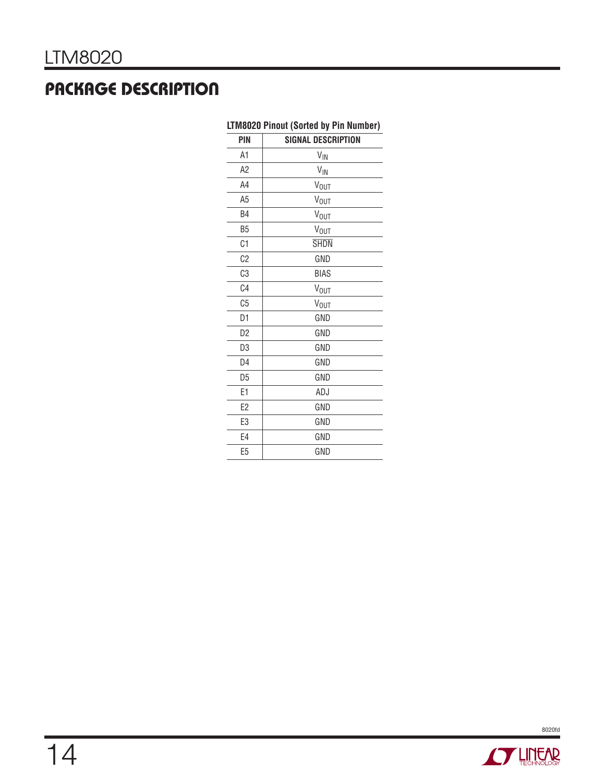# **PACKAGE DESCRIPTION**

|                | LTM8020 Pinout (Sorted by Pin Number) |
|----------------|---------------------------------------|
| PIN            | <b>SIGNAL DESCRIPTION</b>             |
| A1             | $V_{\text{IN}}$                       |
| A <sub>2</sub> | $V_{\text{IN}}$                       |
| A4             | <b>V<sub>OUT</sub></b>                |
| A <sub>5</sub> | <b>V<sub>OUT</sub></b>                |
| B4             | <b>V<sub>OUT</sub></b>                |
| B <sub>5</sub> | <b>V<sub>OUT</sub></b>                |
| C1             | <b>SHDN</b>                           |
| C <sub>2</sub> | GND                                   |
| C <sub>3</sub> | <b>BIAS</b>                           |
| C <sub>4</sub> | V <sub>OUT</sub>                      |
| C <sub>5</sub> | <b>V<sub>OUT</sub></b>                |
| D1             | GND                                   |
| D <sub>2</sub> | GND                                   |
| D <sub>3</sub> | GND                                   |
| D4             | GND                                   |
| D <sub>5</sub> | GND                                   |
| E1             | ADJ                                   |
| E <sub>2</sub> | GND                                   |
| E3             | GND                                   |
| E4             | GND                                   |
| E <sub>5</sub> | GND                                   |
|                |                                       |



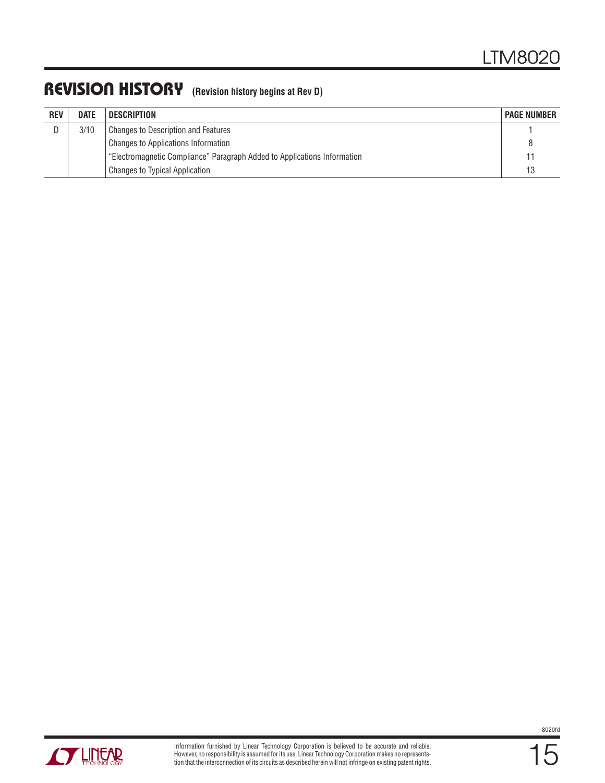### **REVISION HISTORY (Revision history begins at Rev D)**

| <b>REV</b> | <b>DATE</b> | DESCRIPTION                                                              | <b>PAGE NUMBER</b> |
|------------|-------------|--------------------------------------------------------------------------|--------------------|
|            | 3/10        | <b>Changes to Description and Features</b>                               |                    |
|            |             | <b>Changes to Applications Information</b>                               |                    |
|            |             | "Electromagnetic Compliance" Paragraph Added to Applications Information |                    |
|            |             | Changes to Typical Application                                           | 13                 |



15